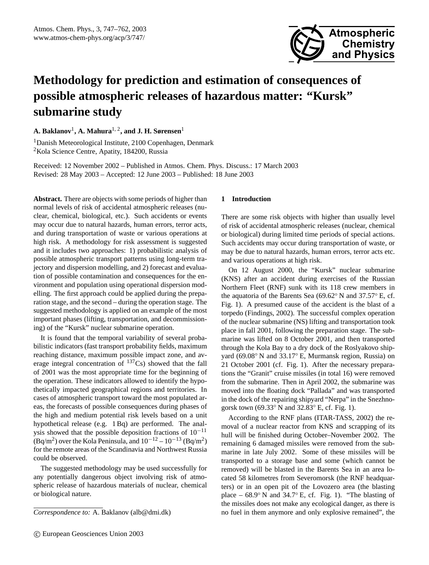

# **Methodology for prediction and estimation of consequences of possible atmospheric releases of hazardous matter: "Kursk" submarine study**

**A. Baklanov**<sup>1</sup> **, A. Mahura**1, 2**, and J. H. Sørensen**<sup>1</sup>

<sup>1</sup>Danish Meteorological Institute, 2100 Copenhagen, Denmark <sup>2</sup>Kola Science Centre, Apatity, 184200, Russia

Received: 12 November 2002 – Published in Atmos. Chem. Phys. Discuss.: 17 March 2003 Revised: 28 May 2003 – Accepted: 12 June 2003 – Published: 18 June 2003

**Abstract.** There are objects with some periods of higher than normal levels of risk of accidental atmospheric releases (nuclear, chemical, biological, etc.). Such accidents or events may occur due to natural hazards, human errors, terror acts, and during transportation of waste or various operations at high risk. A methodology for risk assessment is suggested and it includes two approaches: 1) probabilistic analysis of possible atmospheric transport patterns using long-term trajectory and dispersion modelling, and 2) forecast and evaluation of possible contamination and consequences for the environment and population using operational dispersion modelling. The first approach could be applied during the preparation stage, and the second – during the operation stage. The suggested methodology is applied on an example of the most important phases (lifting, transportation, and decommissioning) of the "Kursk" nuclear submarine operation.

It is found that the temporal variability of several probabilistic indicators (fast transport probability fields, maximum reaching distance, maximum possible impact zone, and average integral concentration of  $137Cs$ ) showed that the fall of 2001 was the most appropriate time for the beginning of the operation. These indicators allowed to identify the hypothetically impacted geographical regions and territories. In cases of atmospheric transport toward the most populated areas, the forecasts of possible consequences during phases of the high and medium potential risk levels based on a unit hypothetical release (e.g. 1 Bq) are performed. The analysis showed that the possible deposition fractions of  $10^{-11}$  $(Bq/m^2)$  over the Kola Peninsula, and  $10^{-12} - 10^{-13}$  (Bq/m<sup>2</sup>) for the remote areas of the Scandinavia and Northwest Russia could be observed.

The suggested methodology may be used successfully for any potentially dangerous object involving risk of atmospheric release of hazardous materials of nuclear, chemical or biological nature.

## **1 Introduction**

There are some risk objects with higher than usually level of risk of accidental atmospheric releases (nuclear, chemical or biological) during limited time periods of special actions. Such accidents may occur during transportation of waste, or may be due to natural hazards, human errors, terror acts etc. and various operations at high risk.

On 12 August 2000, the "Kursk" nuclear submarine (KNS) after an accident during exercises of the Russian Northern Fleet (RNF) sunk with its 118 crew members in the aquatoria of the Barents Sea (69.62◦ N and 37.57◦ E, cf. Fig. 1). A presumed cause of the accident is the blast of a torpedo (Findings, 2002). The successful complex operation of the nuclear submarine (NS) lifting and transportation took place in fall 2001, following the preparation stage. The submarine was lifted on 8 October 2001, and then transported through the Kola Bay to a dry dock of the Roslyakovo shipyard (69.08◦ N and 33.17◦ E, Murmansk region, Russia) on 21 October 2001 (cf. Fig. 1). After the necessary preparations the "Granit" cruise missiles (in total 16) were removed from the submarine. Then in April 2002, the submarine was moved into the floating dock "Pallada" and was transported in the dock of the repairing shipyard "Nerpa" in the Snezhnogorsk town (69.33◦ N and 32.83◦ E, cf. Fig. 1).

According to the RNF plans (ITAR-TASS, 2002) the removal of a nuclear reactor from KNS and scrapping of its hull will be finished during October–November 2002. The remaining 6 damaged missiles were removed from the submarine in late July 2002. Some of these missiles will be transported to a storage base and some (which cannot be removed) will be blasted in the Barents Sea in an area located 58 kilometres from Severomorsk (the RNF headquarters) or in an open pit of the Lovozero area (the blasting place –  $68.9°$  N and  $34.7°$  E, cf. Fig. 1). "The blasting of the missiles does not make any ecological danger, as there is no fuel in them anymore and only explosive remained", the

*Correspondence to:* A. Baklanov (alb@dmi.dk)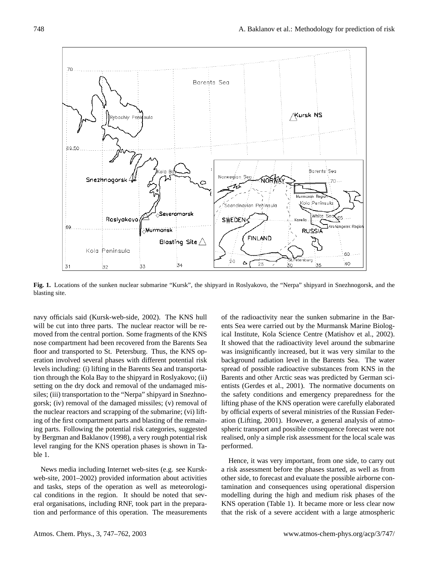

**Fig. 1.** Locations of the sunken nuclear submarine "Kursk", the shipyard in Roslyakovo, the "Nerpa" shipyard in Snezhnogorsk, and the blasting site.

navy officials said (Kursk-web-side, 2002). The KNS hull will be cut into three parts. The nuclear reactor will be removed from the central portion. Some fragments of the KNS nose compartment had been recovered from the Barents Sea floor and transported to St. Petersburg. Thus, the KNS operation involved several phases with different potential risk levels including: (i) lifting in the Barents Sea and transportation through the Kola Bay to the shipyard in Roslyakovo; (ii) setting on the dry dock and removal of the undamaged missiles; (iii) transportation to the "Nerpa" shipyard in Snezhnogorsk; (iv) removal of the damaged missiles; (v) removal of the nuclear reactors and scrapping of the submarine; (vi) lifting of the first compartment parts and blasting of the remaining parts. Following the potential risk categories, suggested by Bergman and Baklanov (1998), a very rough potential risk level ranging for the KNS operation phases is shown in Table 1.

News media including Internet web-sites (e.g. see Kurskweb-site, 2001–2002) provided information about activities and tasks, steps of the operation as well as meteorological conditions in the region. It should be noted that several organisations, including RNF, took part in the preparation and performance of this operation. The measurements of the radioactivity near the sunken submarine in the Barents Sea were carried out by the Murmansk Marine Biological Institute, Kola Science Centre (Matishov et al., 2002). It showed that the radioactivity level around the submarine was insignificantly increased, but it was very similar to the background radiation level in the Barents Sea. The water spread of possible radioactive substances from KNS in the Barents and other Arctic seas was predicted by German scientists (Gerdes et al., 2001). The normative documents on the safety conditions and emergency preparedness for the lifting phase of the KNS operation were carefully elaborated by official experts of several ministries of the Russian Federation (Lifting, 2001). However, a general analysis of atmospheric transport and possible consequence forecast were not realised, only a simple risk assessment for the local scale was performed.

Hence, it was very important, from one side, to carry out a risk assessment before the phases started, as well as from other side, to forecast and evaluate the possible airborne contamination and consequences using operational dispersion modelling during the high and medium risk phases of the KNS operation (Table 1). It became more or less clear now that the risk of a severe accident with a large atmospheric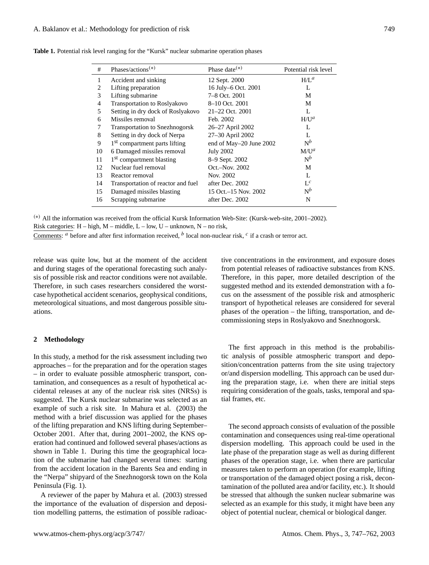| #  | Phases/actions <sup>(*)</sup>             | Phase date $(*)$        | Potential risk level |
|----|-------------------------------------------|-------------------------|----------------------|
| 1  | Accident and sinking                      | 12 Sept. 2000           | $H/L^a$              |
| 2  | Lifting preparation                       | 16 July-6 Oct. 2001     | L                    |
| 3  | Lifting submarine                         | 7-8 Oct. 2001           | М                    |
| 4  | <b>Transportation to Roslyakovo</b>       | 8-10 Oct. 2001          | M                    |
| 5  | Setting in dry dock of Roslyakovo         | $21 - 22$ Oct. 2001     | L                    |
| 6  | Missiles removal                          | Feb. 2002               | $H/U^a$              |
| 7  | <b>Transportation to Snezhnogorsk</b>     | 26-27 April 2002        | L                    |
| 8  | Setting in dry dock of Nerpa              | 27-30 April 2002        | L                    |
| 9  | 1 <sup>st</sup> compartment parts lifting | end of May–20 June 2002 | $N^b$                |
| 10 | 6 Damaged missiles removal                | <b>July 2002</b>        | $M/I^a$              |
| 11 | 1 <sup>st</sup> compartment blasting      | 8-9 Sept. 2002          | $N^b$                |
| 12 | Nuclear fuel removal                      | Oct.-Nov. 2002          | M                    |
| 13 | Reactor removal                           | Nov. 2002               | L                    |
| 14 | Transportation of reactor and fuel        | after Dec. 2002         | $L^c$                |
| 15 | Damaged missiles blasting                 | 15 Oct. - 15 Nov. 2002  | $N^b$                |
| 16 | Scrapping submarine                       | after Dec. 2002         | N                    |
|    |                                           |                         |                      |

**Table 1.** Potential risk level ranging for the "Kursk" nuclear submarine operation phases

(∗) All the information was received from the official Kursk Information Web-Site: (Kursk-web-site, 2001–2002). Risk categories:  $H - high$ ,  $M - middle$ ,  $L - low$ ,  $U - unknown$ ,  $N - no$  risk,

Comments:  $a$  before and after first information received,  $b$  local non-nuclear risk,  $c$  if a crash or terror act.

release was quite low, but at the moment of the accident and during stages of the operational forecasting such analysis of possible risk and reactor conditions were not available. Therefore, in such cases researchers considered the worstcase hypothetical accident scenarios, geophysical conditions, meteorological situations, and most dangerous possible situations.

## **2 Methodology**

In this study, a method for the risk assessment including two approaches – for the preparation and for the operation stages – in order to evaluate possible atmospheric transport, contamination, and consequences as a result of hypothetical accidental releases at any of the nuclear risk sites (NRSs) is suggested. The Kursk nuclear submarine was selected as an example of such a risk site. In Mahura et al. (2003) the method with a brief discussion was applied for the phases of the lifting preparation and KNS lifting during September– October 2001. After that, during 2001–2002, the KNS operation had continued and followed several phases/actions as shown in Table 1. During this time the geographical location of the submarine had changed several times: starting from the accident location in the Barents Sea and ending in the "Nerpa" shipyard of the Snezhnogorsk town on the Kola Peninsula (Fig. 1).

A reviewer of the paper by Mahura et al. (2003) stressed the importance of the evaluation of dispersion and deposition modelling patterns, the estimation of possible radioactive concentrations in the environment, and exposure doses from potential releases of radioactive substances from KNS. Therefore, in this paper, more detailed description of the suggested method and its extended demonstration with a focus on the assessment of the possible risk and atmospheric transport of hypothetical releases are considered for several phases of the operation – the lifting, transportation, and decommissioning steps in Roslyakovo and Snezhnogorsk.

The first approach in this method is the probabilistic analysis of possible atmospheric transport and deposition/concentration patterns from the site using trajectory or/and dispersion modelling. This approach can be used during the preparation stage, i.e. when there are initial steps requiring consideration of the goals, tasks, temporal and spatial frames, etc.

The second approach consists of evaluation of the possible contamination and consequences using real-time operational dispersion modelling. This approach could be used in the late phase of the preparation stage as well as during different phases of the operation stage, i.e. when there are particular measures taken to perform an operation (for example, lifting or transportation of the damaged object posing a risk, decontamination of the polluted area and/or facility, etc.). It should be stressed that although the sunken nuclear submarine was selected as an example for this study, it might have been any object of potential nuclear, chemical or biological danger.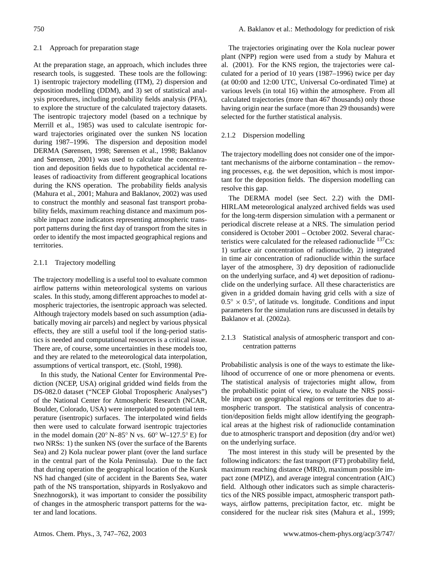#### 2.1 Approach for preparation stage

At the preparation stage, an approach, which includes three research tools, is suggested. These tools are the following: 1) isentropic trajectory modelling (ITM), 2) dispersion and deposition modelling (DDM), and 3) set of statistical analysis procedures, including probability fields analysis (PFA), to explore the structure of the calculated trajectory datasets. The isentropic trajectory model (based on a technique by Merrill et al., 1985) was used to calculate isentropic forward trajectories originated over the sunken NS location during 1987–1996. The dispersion and deposition model DERMA (Sørensen, 1998; Sørensen et al., 1998; Baklanov and Sørensen, 2001) was used to calculate the concentration and deposition fields due to hypothetical accidental releases of radioactivity from different geographical locations during the KNS operation. The probability fields analysis (Mahura et al., 2001; Mahura and Baklanov, 2002) was used to construct the monthly and seasonal fast transport probability fields, maximum reaching distance and maximum possible impact zone indicators representing atmospheric transport patterns during the first day of transport from the sites in order to identify the most impacted geographical regions and territories.

## 2.1.1 Trajectory modelling

The trajectory modelling is a useful tool to evaluate common airflow patterns within meteorological systems on various scales. In this study, among different approaches to model atmospheric trajectories, the isentropic approach was selected. Although trajectory models based on such assumption (adiabatically moving air parcels) and neglect by various physical effects, they are still a useful tool if the long-period statistics is needed and computational resources is a critical issue. There are, of course, some uncertainties in these models too, and they are related to the meteorological data interpolation, assumptions of vertical transport, etc. (Stohl, 1998).

In this study, the National Center for Environmental Prediction (NCEP, USA) original gridded wind fields from the DS-082.0 dataset ("NCEP Global Tropospheric Analyses") of the National Center for Atmospheric Research (NCAR, Boulder, Colorado, USA) were interpolated to potential temperature (isentropic) surfaces. The interpolated wind fields then were used to calculate forward isentropic trajectories in the model domain (20 $\degree$  N–85 $\degree$  N vs. 60 $\degree$  W–127.5 $\degree$  E) for two NRSs: 1) the sunken NS (over the surface of the Barents Sea) and 2) Kola nuclear power plant (over the land surface in the central part of the Kola Peninsula). Due to the fact that during operation the geographical location of the Kursk NS had changed (site of accident in the Barents Sea, water path of the NS transportation, shipyards in Roslyakovo and Snezhnogorsk), it was important to consider the possibility of changes in the atmospheric transport patterns for the water and land locations.

The trajectories originating over the Kola nuclear power plant (NPP) region were used from a study by Mahura et al. (2001). For the KNS region, the trajectories were calculated for a period of 10 years (1987–1996) twice per day (at 00:00 and 12:00 UTC, Universal Co-ordinated Time) at various levels (in total 16) within the atmosphere. From all calculated trajectories (more than 467 thousands) only those having origin near the surface (more than 29 thousands) were selected for the further statistical analysis.

#### 2.1.2 Dispersion modelling

The trajectory modelling does not consider one of the important mechanisms of the airborne contamination – the removing processes, e.g. the wet deposition, which is most important for the deposition fields. The dispersion modelling can resolve this gap.

The DERMA model (see Sect. 2.2) with the DMI-HIRLAM meteorological analyzed archived fields was used for the long-term dispersion simulation with a permanent or periodical discrete release at a NRS. The simulation period considered is October 2001 – October 2002. Several characteristics were calculated for the released radionuclide  $137Cs$ : 1) surface air concentration of radionuclide, 2) integrated in time air concentration of radionuclide within the surface layer of the atmosphere, 3) dry deposition of radionuclide on the underlying surface, and 4) wet deposition of radionuclide on the underlying surface. All these characteristics are given in a gridded domain having grid cells with a size of  $0.5^{\circ} \times 0.5^{\circ}$ , of latitude vs. longitude. Conditions and input parameters for the simulation runs are discussed in details by Baklanov et al. (2002a).

# 2.1.3 Statistical analysis of atmospheric transport and concentration patterns

Probabilistic analysis is one of the ways to estimate the likelihood of occurrence of one or more phenomena or events. The statistical analysis of trajectories might allow, from the probabilistic point of view, to evaluate the NRS possible impact on geographical regions or territories due to atmospheric transport. The statistical analysis of concentration/deposition fields might allow identifying the geographical areas at the highest risk of radionuclide contamination due to atmospheric transport and deposition (dry and/or wet) on the underlying surface.

The most interest in this study will be presented by the following indicators: the fast transport (FT) probability field, maximum reaching distance (MRD), maximum possible impact zone (MPIZ), and average integral concentration (AIC) field. Although other indicators such as simple characteristics of the NRS possible impact, atmospheric transport pathways, airflow patterns, precipitation factor, etc. might be considered for the nuclear risk sites (Mahura et al., 1999;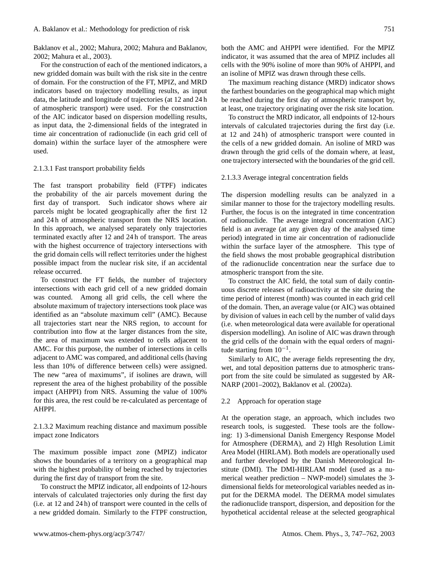Baklanov et al., 2002; Mahura, 2002; Mahura and Baklanov, 2002; Mahura et al., 2003).

For the construction of each of the mentioned indicators, a new gridded domain was built with the risk site in the centre of domain. For the construction of the FT, MPIZ, and MRD indicators based on trajectory modelling results, as input data, the latitude and longitude of trajectories (at 12 and 24 h of atmospheric transport) were used. For the construction of the AIC indicator based on dispersion modelling results, as input data, the 2-dimensional fields of the integrated in time air concentration of radionuclide (in each grid cell of domain) within the surface layer of the atmosphere were used.

### 2.1.3.1 Fast transport probability fields

The fast transport probability field (FTPF) indicates the probability of the air parcels movement during the first day of transport. Such indicator shows where air parcels might be located geographically after the first 12 and 24 h of atmospheric transport from the NRS location. In this approach, we analysed separately only trajectories terminated exactly after 12 and 24 h of transport. The areas with the highest occurrence of trajectory intersections with the grid domain cells will reflect territories under the highest possible impact from the nuclear risk site, if an accidental release occurred.

To construct the FT fields, the number of trajectory intersections with each grid cell of a new gridded domain was counted. Among all grid cells, the cell where the absolute maximum of trajectory intersections took place was identified as an "absolute maximum cell" (AMC). Because all trajectories start near the NRS region, to account for contribution into flow at the larger distances from the site, the area of maximum was extended to cells adjacent to AMC. For this purpose, the number of intersections in cells adjacent to AMC was compared, and additional cells (having less than 10% of difference between cells) were assigned. The new "area of maximums", if isolines are drawn, will represent the area of the highest probability of the possible impact (AHPPI) from NRS. Assuming the value of 100% for this area, the rest could be re-calculated as percentage of AHPPI.

2.1.3.2 Maximum reaching distance and maximum possible impact zone Indicators

The maximum possible impact zone (MPIZ) indicator shows the boundaries of a territory on a geographical map with the highest probability of being reached by trajectories during the first day of transport from the site.

To construct the MPIZ indicator, all endpoints of 12-hours intervals of calculated trajectories only during the first day (i.e. at 12 and 24 h) of transport were counted in the cells of a new gridded domain. Similarly to the FTPF construction, both the AMC and AHPPI were identified. For the MPIZ indicator, it was assumed that the area of MPIZ includes all cells with the 90% isoline of more than 90% of AHPPI, and an isoline of MPIZ was drawn through these cells.

The maximum reaching distance (MRD) indicator shows the farthest boundaries on the geographical map which might be reached during the first day of atmospheric transport by, at least, one trajectory originating over the risk site location.

To construct the MRD indicator, all endpoints of 12-hours intervals of calculated trajectories during the first day (i.e. at 12 and 24 h) of atmospheric transport were counted in the cells of a new gridded domain. An isoline of MRD was drawn through the grid cells of the domain where, at least, one trajectory intersected with the boundaries of the grid cell.

#### 2.1.3.3 Average integral concentration fields

The dispersion modelling results can be analyzed in a similar manner to those for the trajectory modelling results. Further, the focus is on the integrated in time concentration of radionuclide. The average integral concentration (AIC) field is an average (at any given day of the analysed time period) integrated in time air concentration of radionuclide within the surface layer of the atmosphere. This type of the field shows the most probable geographical distribution of the radionuclide concentration near the surface due to atmospheric transport from the site.

To construct the AIC field, the total sum of daily continuous discrete releases of radioactivity at the site during the time period of interest (month) was counted in each grid cell of the domain. Then, an average value (or AIC) was obtained by division of values in each cell by the number of valid days (i.e. when meteorological data were available for operational dispersion modelling). An isoline of AIC was drawn through the grid cells of the domain with the equal orders of magnitude starting from  $10^{-1}$ .

Similarly to AIC, the average fields representing the dry, wet, and total deposition patterns due to atmospheric transport from the site could be simulated as suggested by AR-NARP (2001–2002), Baklanov et al. (2002a).

#### 2.2 Approach for operation stage

At the operation stage, an approach, which includes two research tools, is suggested. These tools are the following: 1) 3-dimensional Danish Emergency Response Model for Atmosphere (DERMA), and 2) HIgh Resolution Limit Area Model (HIRLAM). Both models are operationally used and further developed by the Danish Meteorological Institute (DMI). The DMI-HIRLAM model (used as a numerical weather prediction – NWP-model) simulates the 3 dimensional fields for meteorological variables needed as input for the DERMA model. The DERMA model simulates the radionuclide transport, dispersion, and deposition for the hypothetical accidental release at the selected geographical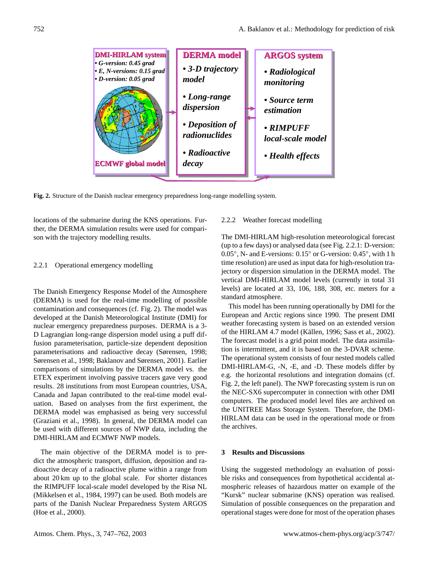

**Fig. 2.** Structure of the Danish nuclear emergency preparedness long-range modelling system.

locations of the submarine during the KNS operations. Further, the DERMA simulation results were used for comparison with the trajectory modelling results.

## 2.2.1 Operational emergency modelling

The Danish Emergency Response Model of the Atmosphere (DERMA) is used for the real-time modelling of possible contamination and consequences (cf. Fig. 2). The model was developed at the Danish Meteorological Institute (DMI) for nuclear emergency preparedness purposes. DERMA is a 3- D Lagrangian long-range dispersion model using a puff diffusion parameterisation, particle-size dependent deposition parameterisations and radioactive decay (Sørensen, 1998; Sørensen et al., 1998; Baklanov and Sørensen, 2001). Earlier comparisons of simulations by the DERMA model vs. the ETEX experiment involving passive tracers gave very good results. 28 institutions from most European countries, USA, Canada and Japan contributed to the real-time model evaluation. Based on analyses from the first experiment, the DERMA model was emphasised as being very successful (Graziani et al., 1998). In general, the DERMA model can be used with different sources of NWP data, including the DMI-HIRLAM and ECMWF NWP models.

The main objective of the DERMA model is to predict the atmospheric transport, diffusion, deposition and radioactive decay of a radioactive plume within a range from about 20 km up to the global scale. For shorter distances the RIMPUFF local-scale model developed by the Risø NL (Mikkelsen et al., 1984, 1997) can be used. Both models are parts of the Danish Nuclear Preparedness System ARGOS (Hoe et al., 2000).

#### 2.2.2 Weather forecast modelling

The DMI-HIRLAM high-resolution meteorological forecast (up to a few days) or analysed data (see Fig. 2.2.1: D-version: 0.05◦ , N- and E-versions: 0.15◦ or G-version: 0.45◦ , with 1 h time resolution) are used as input data for high-resolution trajectory or dispersion simulation in the DERMA model. The vertical DMI-HIRLAM model levels (currently in total 31 levels) are located at 33, 106, 188, 308, etc. meters for a standard atmosphere.

This model has been running operationally by DMI for the European and Arctic regions since 1990. The present DMI weather forecasting system is based on an extended version of the HIRLAM 4.7 model (Källen, 1996; Sass et al., 2002). The forecast model is a grid point model. The data assimilation is intermittent, and it is based on the 3-DVAR scheme. The operational system consists of four nested models called DMI-HIRLAM-G, -N, -E, and -D. These models differ by e.g. the horizontal resolutions and integration domains (cf. Fig. 2, the left panel). The NWP forecasting system is run on the NEC-SX6 supercomputer in connection with other DMI computers. The produced model level files are archived on the UNITREE Mass Storage System. Therefore, the DMI-HIRLAM data can be used in the operational mode or from the archives.

## **3 Results and Discussions**

Using the suggested methodology an evaluation of possible risks and consequences from hypothetical accidental atmospheric releases of hazardous matter on example of the "Kursk" nuclear submarine (KNS) operation was realised. Simulation of possible consequences on the preparation and operational stages were done for most of the operation phases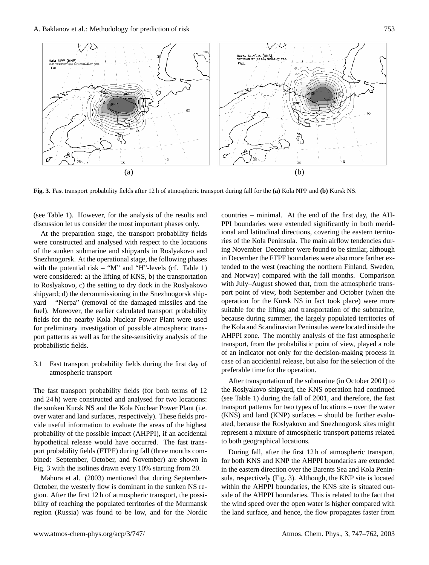

**Fig. 3.** Fast transport probability fields after 12 h of atmospheric transport during fall for the **(a)** Kola NPP and **(b)** Kursk NS.

(see Table 1). However, for the analysis of the results and discussion let us consider the most important phases only.

At the preparation stage, the transport probability fields were constructed and analysed with respect to the locations of the sunken submarine and shipyards in Roslyakovo and Snezhnogorsk. At the operational stage, the following phases with the potential risk – "M" and "H"-levels (cf. Table 1) were considered: a) the lifting of KNS, b) the transportation to Roslyakovo, c) the setting to dry dock in the Roslyakovo shipyard; d) the decommissioning in the Snezhnogorsk shipyard – "Nerpa" (removal of the damaged missiles and the fuel). Moreover, the earlier calculated transport probability fields for the nearby Kola Nuclear Power Plant were used for preliminary investigation of possible atmospheric transport patterns as well as for the site-sensitivity analysis of the probabilistic fields.

3.1 Fast transport probability fields during the first day of atmospheric transport

The fast transport probability fields (for both terms of 12 and 24 h) were constructed and analysed for two locations: the sunken Kursk NS and the Kola Nuclear Power Plant (i.e. over water and land surfaces, respectively). These fields provide useful information to evaluate the areas of the highest probability of the possible impact (AHPPI), if an accidental hypothetical release would have occurred. The fast transport probability fields (FTPF) during fall (three months combined: September, October, and November) are shown in Fig. 3 with the isolines drawn every 10% starting from 20.

Mahura et al. (2003) mentioned that during September-October, the westerly flow is dominant in the sunken NS region. After the first 12 h of atmospheric transport, the possibility of reaching the populated territories of the Murmansk region (Russia) was found to be low, and for the Nordic countries – minimal. At the end of the first day, the AH-PPI boundaries were extended significantly in both meridional and latitudinal directions, covering the eastern territories of the Kola Peninsula. The main airflow tendencies during November–December were found to be similar, although in December the FTPF boundaries were also more farther extended to the west (reaching the northern Finland, Sweden, and Norway) compared with the fall months. Comparison with July–August showed that, from the atmospheric transport point of view, both September and October (when the operation for the Kursk NS in fact took place) were more suitable for the lifting and transportation of the submarine, because during summer, the largely populated territories of the Kola and Scandinavian Peninsulas were located inside the AHPPI zone. The monthly analysis of the fast atmospheric transport, from the probabilistic point of view, played a role of an indicator not only for the decision-making process in case of an accidental release, but also for the selection of the preferable time for the operation.

After transportation of the submarine (in October 2001) to the Roslyakovo shipyard, the KNS operation had continued (see Table 1) during the fall of 2001, and therefore, the fast transport patterns for two types of locations – over the water (KNS) and land (KNP) surfaces – should be further evaluated, because the Roslyakovo and Snezhnogorsk sites might represent a mixture of atmospheric transport patterns related to both geographical locations.

During fall, after the first 12 h of atmospheric transport, for both KNS and KNP the AHPPI boundaries are extended in the eastern direction over the Barents Sea and Kola Peninsula, respectively (Fig. 3). Although, the KNP site is located within the AHPPI boundaries, the KNS site is situated outside of the AHPPI boundaries. This is related to the fact that the wind speed over the open water is higher compared with the land surface, and hence, the flow propagates faster from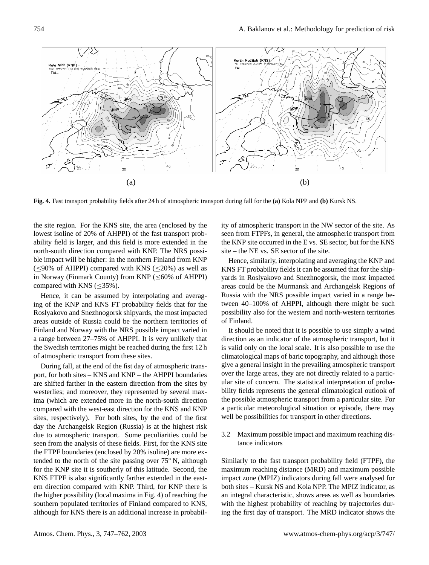

**Fig. 4.** Fast transport probability fields after 24 h of atmospheric transport during fall for the **(a)** Kola NPP and **(b)** Kursk NS.

the site region. For the KNS site, the area (enclosed by the lowest isoline of 20% of AHPPI) of the fast transport probability field is larger, and this field is more extended in the north-south direction compared with KNP. The NRS possible impact will be higher: in the northern Finland from KNP ( $\leq$ 90% of AHPPI) compared with KNS ( $\leq$ 20%) as well as in Norway (Finmark County) from KNP ( $\leq 60\%$  of AHPPI) compared with KNS ( $\leq$ 35%).

Hence, it can be assumed by interpolating and averaging of the KNP and KNS FT probability fields that for the Roslyakovo and Snezhnogorsk shipyards, the most impacted areas outside of Russia could be the northern territories of Finland and Norway with the NRS possible impact varied in a range between 27–75% of AHPPI. It is very unlikely that the Swedish territories might be reached during the first 12 h of atmospheric transport from these sites.

During fall, at the end of the fist day of atmospheric transport, for both sites – KNS and KNP – the AHPPI boundaries are shifted farther in the eastern direction from the sites by westerlies; and moreover, they represented by several maxima (which are extended more in the north-south direction compared with the west-east direction for the KNS and KNP sites, respectively). For both sites, by the end of the first day the Archangelsk Region (Russia) is at the highest risk due to atmospheric transport. Some peculiarities could be seen from the analysis of these fields. First, for the KNS site the FTPF boundaries (enclosed by 20% isoline) are more extended to the north of the site passing over 75◦ N, although for the KNP site it is southerly of this latitude. Second, the KNS FTPF is also significantly farther extended in the eastern direction compared with KNP. Third, for KNP there is the higher possibility (local maxima in Fig. 4) of reaching the southern populated territories of Finland compared to KNS, although for KNS there is an additional increase in probability of atmospheric transport in the NW sector of the site. As seen from FTPFs, in general, the atmospheric transport from the KNP site occurred in the E vs. SE sector, but for the KNS site – the NE vs. SE sector of the site.

Hence, similarly, interpolating and averaging the KNP and KNS FT probability fields it can be assumed that for the shipyards in Roslyakovo and Snezhnogorsk, the most impacted areas could be the Murmansk and Archangelsk Regions of Russia with the NRS possible impact varied in a range between 40–100% of AHPPI, although there might be such possibility also for the western and north-western territories of Finland.

It should be noted that it is possible to use simply a wind direction as an indicator of the atmospheric transport, but it is valid only on the local scale. It is also possible to use the climatological maps of baric topography, and although those give a general insight in the prevailing atmospheric transport over the large areas, they are not directly related to a particular site of concern. The statistical interpretation of probability fields represents the general climatological outlook of the possible atmospheric transport from a particular site. For a particular meteorological situation or episode, there may well be possibilities for transport in other directions.

3.2 Maximum possible impact and maximum reaching distance indicators

Similarly to the fast transport probability field (FTPF), the maximum reaching distance (MRD) and maximum possible impact zone (MPIZ) indicators during fall were analysed for both sites – Kursk NS and Kola NPP. The MPIZ indicator, as an integral characteristic, shows areas as well as boundaries with the highest probability of reaching by trajectories during the first day of transport. The MRD indicator shows the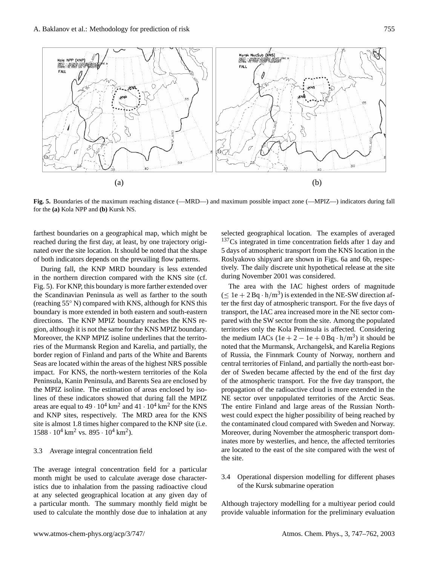

**Fig. 5.** Boundaries of the maximum reaching distance (—MRD—) and maximum possible impact zone (—MPIZ—) indicators during fall for the **(a)** Kola NPP and **(b)** Kursk NS.

farthest boundaries on a geographical map, which might be reached during the first day, at least, by one trajectory originated over the site location. It should be noted that the shape of both indicators depends on the prevailing flow patterns.

During fall, the KNP MRD boundary is less extended in the northern direction compared with the KNS site (cf. Fig. 5). For KNP, this boundary is more farther extended over the Scandinavian Peninsula as well as farther to the south (reaching 55◦ N) compared with KNS, although for KNS this boundary is more extended in both eastern and south-eastern directions. The KNP MPIZ boundary reaches the KNS region, although it is not the same for the KNS MPIZ boundary. Moreover, the KNP MPIZ isoline underlines that the territories of the Murmansk Region and Karelia, and partially, the border region of Finland and parts of the White and Barents Seas are located within the areas of the highest NRS possible impact. For KNS, the north-western territories of the Kola Peninsula, Kanin Peninsula, and Barents Sea are enclosed by the MPIZ isoline. The estimation of areas enclosed by isolines of these indicators showed that during fall the MPIZ areas are equal to  $49 \cdot 10^4 \,\mathrm{km}^2$  and  $41 \cdot 10^4 \,\mathrm{km}^2$  for the KNS and KNP sites, respectively. The MRD area for the KNS site is almost 1.8 times higher compared to the KNP site (i.e.  $1588 \cdot 10^4$  km<sup>2</sup> vs.  $895 \cdot 10^4$  km<sup>2</sup>).

## 3.3 Average integral concentration field

The average integral concentration field for a particular month might be used to calculate average dose characteristics due to inhalation from the passing radioactive cloud at any selected geographical location at any given day of a particular month. The summary monthly field might be used to calculate the monthly dose due to inhalation at any

selected geographical location. The examples of averaged  $137Cs$  integrated in time concentration fields after 1 day and 5 days of atmospheric transport from the KNS location in the Roslyakovo shipyard are shown in Figs. 6a and 6b, respectively. The daily discrete unit hypothetical release at the site during November 2001 was considered.

The area with the IAC highest orders of magnitude  $(\leq 1e + 2 \text{Bq} \cdot \text{h/m}^3)$  is extended in the NE-SW direction after the first day of atmospheric transport. For the five days of transport, the IAC area increased more in the NE sector compared with the SW sector from the site. Among the populated territories only the Kola Peninsula is affected. Considering the medium IACs  $(1e + 2 - 1e + 0)$  Bq · h/m<sup>3</sup>) it should be noted that the Murmansk, Archangelsk, and Karelia Regions of Russia, the Finnmark County of Norway, northern and central territories of Finland, and partially the north-east border of Sweden became affected by the end of the first day of the atmospheric transport. For the five day transport, the propagation of the radioactive cloud is more extended in the NE sector over unpopulated territories of the Arctic Seas. The entire Finland and large areas of the Russian Northwest could expect the higher possibility of being reached by the contaminated cloud compared with Sweden and Norway. Moreover, during November the atmospheric transport dominates more by westerlies, and hence, the affected territories are located to the east of the site compared with the west of the site.

# 3.4 Operational dispersion modelling for different phases of the Kursk submarine operation

Although trajectory modelling for a multiyear period could provide valuable information for the preliminary evaluation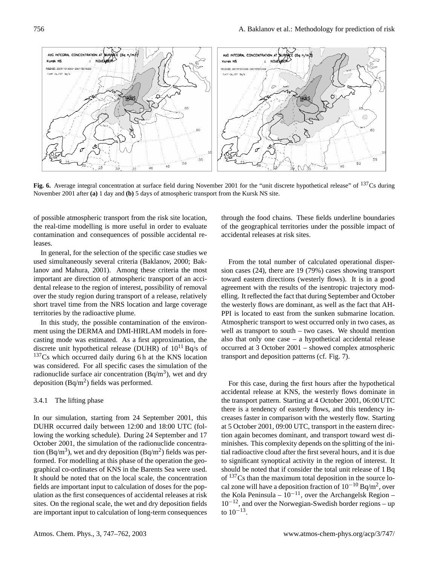

Fig. 6. Average integral concentration at surface field during November 2001 for the "unit discrete hypothetical release" of <sup>137</sup>Cs during November 2001 after **(a)** 1 day and **(b)** 5 days of atmospheric transport from the Kursk NS site.

of possible atmospheric transport from the risk site location, the real-time modelling is more useful in order to evaluate contamination and consequences of possible accidental releases.

In general, for the selection of the specific case studies we used simultaneously several criteria (Baklanov, 2000; Baklanov and Mahura, 2001). Among these criteria the most important are direction of atmospheric transport of an accidental release to the region of interest, possibility of removal over the study region during transport of a release, relatively short travel time from the NRS location and large coverage territories by the radioactive plume.

In this study, the possible contamination of the environment using the DERMA and DMI-HIRLAM models in forecasting mode was estimated. As a first approximation, the discrete unit hypothetical release (DUHR) of  $10^{11}$  Bq/s of  $137<sub>Cs</sub>$  which occurred daily during 6 h at the KNS location was considered. For all specific cases the simulation of the radionuclide surface air concentration  $(Bq/m^3)$ , wet and dry deposition (Bq/m<sup>2</sup>) fields was performed.

#### 3.4.1 The lifting phase

In our simulation, starting from 24 September 2001, this DUHR occurred daily between 12:00 and 18:00 UTC (following the working schedule). During 24 September and 17 October 2001, the simulation of the radionuclide concentration (Bq/m<sup>3</sup>), wet and dry deposition (Bq/m<sup>2</sup>) fields was performed. For modelling at this phase of the operation the geographical co-ordinates of KNS in the Barents Sea were used. It should be noted that on the local scale, the concentration fields are important input to calculation of doses for the population as the first consequences of accidental releases at risk sites. On the regional scale, the wet and dry deposition fields are important input to calculation of long-term consequences through the food chains. These fields underline boundaries of the geographical territories under the possible impact of accidental releases at risk sites.

From the total number of calculated operational dispersion cases (24), there are 19 (79%) cases showing transport toward eastern directions (westerly flows). It is in a good agreement with the results of the isentropic trajectory modelling. It reflected the fact that during September and October the westerly flows are dominant, as well as the fact that AH-PPI is located to east from the sunken submarine location. Atmospheric transport to west occurred only in two cases, as well as transport to south – two cases. We should mention also that only one case – a hypothetical accidental release occurred at 3 October 2001 – showed complex atmospheric transport and deposition patterns (cf. Fig. 7).

For this case, during the first hours after the hypothetical accidental release at KNS, the westerly flows dominate in the transport pattern. Starting at 4 October 2001, 06:00 UTC there is a tendency of easterly flows, and this tendency increases faster in comparison with the westerly flow. Starting at 5 October 2001, 09:00 UTC, transport in the eastern direction again becomes dominant, and transport toward west diminishes. This complexity depends on the splitting of the initial radioactive cloud after the first several hours, and it is due to significant synoptical activity in the region of interest. It should be noted that if consider the total unit release of 1 Bq of <sup>137</sup>Cs than the maximum total deposition in the source local zone will have a deposition fraction of  $10^{-10}$  Bq/m<sup>2</sup>, over the Kola Peninsula –  $10^{-11}$ , over the Archangelsk Region –  $10^{-12}$ , and over the Norwegian-Swedish border regions – up to 10−<sup>13</sup> .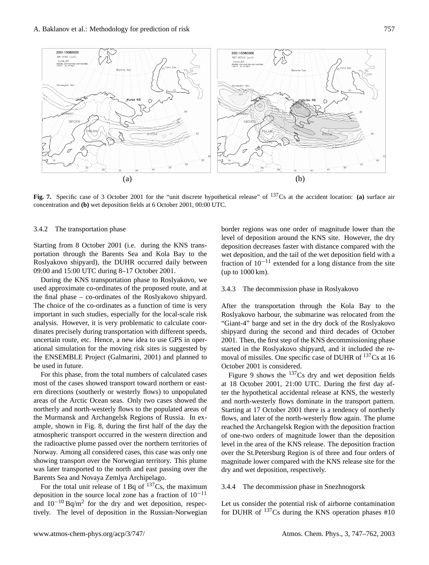

**Fig. 7.** Specific case of 3 October 2001 for the "unit discrete hypothetical release" of <sup>137</sup>Cs at the accident location: **(a)** surface air concentration and **(b)** wet deposition fields at 6 October 2001, 00:00 UTC.

#### 3.4.2 The transportation phase

Starting from 8 October 2001 (i.e. during the KNS transportation through the Barents Sea and Kola Bay to the Roslyakovo shipyard), the DUHR occurred daily between 09:00 and 15:00 UTC during 8–17 October 2001.

During the KNS transportation phase to Roslyakovo, we used approximate co-ordinates of the proposed route, and at the final phase – co-ordinates of the Roslyakovo shipyard. The choice of the co-ordinates as a function of time is very important in such studies, especially for the local-scale risk analysis. However, it is very problematic to calculate coordinates precisely during transportation with different speeds, uncertain route, etc. Hence, a new idea to use GPS in operational simulation for the moving risk sites is suggested by the ENSEMBLE Project (Galmarini, 2001) and planned to be used in future.

For this phase, from the total numbers of calculated cases most of the cases showed transport toward northern or eastern directions (southerly or westerly flows) to unpopulated areas of the Arctic Ocean seas. Only two cases showed the northerly and north-westerly flows to the populated areas of the Murmansk and Archangelsk Regions of Russia. In example, shown in Fig. 8, during the first half of the day the atmospheric transport occurred in the western direction and the radioactive plume passed over the northern territories of Norway. Among all considered cases, this case was only one showing transport over the Norwegian territory. This plume was later transported to the north and east passing over the Barents Sea and Novaya Zemlya Archipelago.

For the total unit release of 1 Bq of  $137\text{Cs}$ , the maximum deposition in the source local zone has a fraction of  $10^{-11}$ and  $10^{-10}$  Bq/m<sup>2</sup> for the dry and wet deposition, respectively. The level of deposition in the Russian-Norwegian border regions was one order of magnitude lower than the level of deposition around the KNS site. However, the dry deposition decreases faster with distance compared with the wet deposition, and the tail of the wet deposition field with a fraction of  $10^{-11}$  extended for a long distance from the site (up to 1000 km).

#### 3.4.3 The decommission phase in Roslyakovo

After the transportation through the Kola Bay to the Roslyakovo harbour, the submarine was relocated from the "Giant-4" barge and set in the dry dock of the Roslyakovo shipyard during the second and third decades of October 2001. Then, the first step of the KNS decommissioning phase started in the Roslyakovo shipyard, and it included the removal of missiles. One specific case of DUHR of <sup>137</sup>Cs at 16 October 2001 is considered.

Figure 9 shows the  $137Cs$  dry and wet deposition fields at 18 October 2001, 21:00 UTC. During the first day after the hypothetical accidental release at KNS, the westerly and north-westerly flows dominate in the transport pattern. Starting at 17 October 2001 there is a tendency of northerly flows, and later of the north-westerly flow again. The plume reached the Archangelsk Region with the deposition fraction of one-two orders of magnitude lower than the deposition level in the area of the KNS release. The deposition fraction over the St.Petersburg Region is of three and four orders of magnitude lower compared with the KNS release site for the dry and wet deposition, respectively.

#### 3.4.4 The decommission phase in Snezhnogorsk

Let us consider the potential risk of airborne contamination for DUHR of  $137$ Cs during the KNS operation phases #10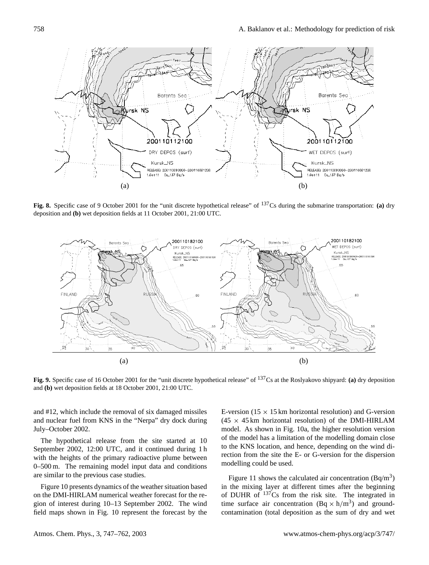

**Fig. 8.** Specific case of 9 October 2001 for the "unit discrete hypothetical release" of <sup>137</sup>Cs during the submarine transportation: **(a)** dry deposition and **(b)** wet deposition fields at 11 October 2001, 21:00 UTC.



**Fig. 9.** Specific case of 16 October 2001 for the "unit discrete hypothetical release" of <sup>137</sup>Cs at the Roslyakovo shipyard: **(a)** dry deposition and **(b)** wet deposition fields at 18 October 2001, 21:00 UTC.

and #12, which include the removal of six damaged missiles and nuclear fuel from KNS in the "Nerpa" dry dock during July–October 2002.

The hypothetical release from the site started at 10 September 2002, 12:00 UTC, and it continued during 1 h with the heights of the primary radioactive plume between 0–500 m. The remaining model input data and conditions are similar to the previous case studies.

Figure 10 presents dynamics of the weather situation based on the DMI-HIRLAM numerical weather forecast for the region of interest during 10–13 September 2002. The wind field maps shown in Fig. 10 represent the forecast by the E-version (15  $\times$  15 km horizontal resolution) and G-version (45  $\times$  45 km horizontal resolution) of the DMI-HIRLAM model. As shown in Fig. 10a, the higher resolution version of the model has a limitation of the modelling domain close to the KNS location, and hence, depending on the wind direction from the site the E- or G-version for the dispersion modelling could be used.

Figure 11 shows the calculated air concentration  $(Bq/m^3)$ in the mixing layer at different times after the beginning of DUHR of  $137$ Cs from the risk site. The integrated in time surface air concentration  $(Bq \times h/m^3)$  and groundcontamination (total deposition as the sum of dry and wet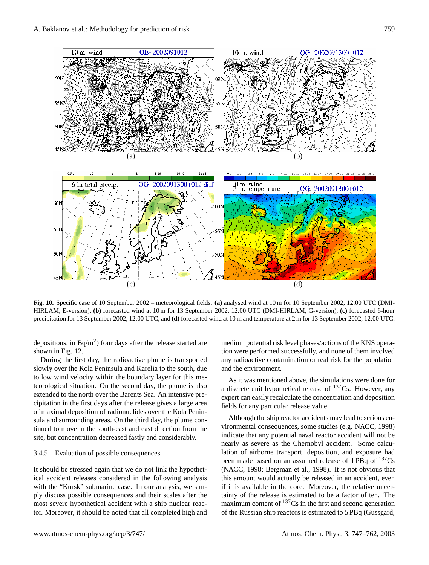

**Fig. 10.** Specific case of 10 September 2002 – meteorological fields: **(a)** analysed wind at 10 m for 10 September 2002, 12:00 UTC (DMI-HIRLAM, E-version), **(b)** forecasted wind at 10 m for 13 September 2002, 12:00 UTC (DMI-HIRLAM, G-version), **(c)** forecasted 6-hour precipitation for 13 September 2002, 12:00 UTC, and **(d)** forecasted wind at 10 m and temperature at 2 m for 13 September 2002, 12:00 UTC.

depositions, in  $Bq/m^2$ ) four days after the release started are shown in Fig. 12.

During the first day, the radioactive plume is transported slowly over the Kola Peninsula and Karelia to the south, due to low wind velocity within the boundary layer for this meteorological situation. On the second day, the plume is also extended to the north over the Barents Sea. An intensive precipitation in the first days after the release gives a large area of maximal deposition of radionuclides over the Kola Peninsula and surrounding areas. On the third day, the plume continued to move in the south-east and east direction from the site, but concentration decreased fastly and considerably.

## 3.4.5 Evaluation of possible consequences

It should be stressed again that we do not link the hypothetical accident releases considered in the following analysis with the "Kursk" submarine case. In our analysis, we simply discuss possible consequences and their scales after the most severe hypothetical accident with a ship nuclear reactor. Moreover, it should be noted that all completed high and medium potential risk level phases/actions of the KNS operation were performed successfully, and none of them involved any radioactive contamination or real risk for the population and the environment.

As it was mentioned above, the simulations were done for a discrete unit hypothetical release of  $137Cs$ . However, any expert can easily recalculate the concentration and deposition fields for any particular release value.

Although the ship reactor accidents may lead to serious environmental consequences, some studies (e.g. NACC, 1998) indicate that any potential naval reactor accident will not be nearly as severe as the Chernobyl accident. Some calculation of airborne transport, deposition, and exposure had been made based on an assumed release of 1 PBq of <sup>137</sup>Cs (NACC, 1998; Bergman et al., 1998). It is not obvious that this amount would actually be released in an accident, even if it is available in the core. Moreover, the relative uncertainty of the release is estimated to be a factor of ten. The maximum content of  $137Cs$  in the first and second generation of the Russian ship reactors is estimated to 5 PBq (Gussgard,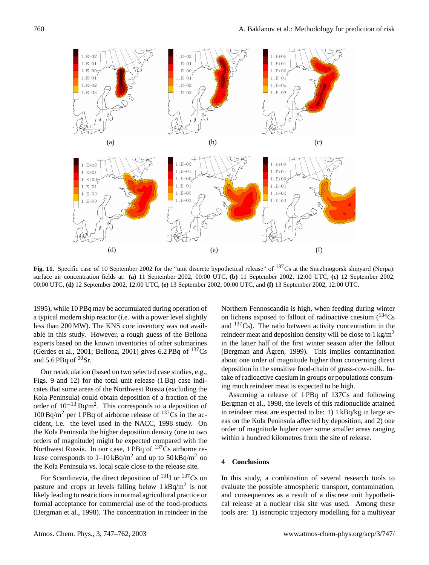

Fig. 11. Specific case of 10 September 2002 for the "unit discrete hypothetical release" of <sup>137</sup>Cs at the Snezhnogorsk shipyard (Nerpa): surface air concentration fields at: **(a)** 11 September 2002, 00:00 UTC, **(b)** 11 September 2002, 12:00 UTC, **(c)** 12 September 2002, 00:00 UTC, **(d)** 12 September 2002, 12:00 UTC, **(e)** 13 September 2002, 00:00 UTC, and **(f)** 13 September 2002, 12:00 UTC.

1995), while 10 PBq may be accumulated during operation of a typical modern ship reactor (i.e. with a power level slightly less than 200 MW). The KNS core inventory was not available in this study. However, a rough guess of the Bellona experts based on the known inventories of other submarines (Gerdes et al., 2001; Bellona, 2001) gives  $6.2$  PBq of  $^{137}Cs$ and 5.6 PBq of  $90$ Sr.

Our recalculation (based on two selected case studies, e.g., Figs. 9 and 12) for the total unit release (1 Bq) case indicates that some areas of the Northwest Russia (excluding the Kola Peninsula) could obtain deposition of a fraction of the order of 10−<sup>13</sup> Bq/m<sup>2</sup> . This corresponds to a deposition of  $100 Bq/m^2$  per 1 PBq of airborne release of  $137Cs$  in the accident, i.e. the level used in the NACC, 1998 study. On the Kola Peninsula the higher deposition density (one to two orders of magnitude) might be expected compared with the Northwest Russia. In our case,  $1$  PBq of  $137$ Cs airborne release corresponds to  $1-10 \text{ kBq/m}^2$  and up to  $50 \text{ kBq/m}^2$  on the Kola Peninsula vs. local scale close to the release site.

For Scandinavia, the direct deposition of  $^{131}$ I or  $^{137}$ Cs on pasture and crops at levels falling below  $1 \text{ kBq/m}^2$  is not likely leading to restrictions in normal agricultural practice or formal acceptance for commercial use of the food-products (Bergman et al., 1998). The concentration in reindeer in the Northern Fennoscandia is high, when feeding during winter on lichens exposed to fallout of radioactive caesium  $(^{134}Cs$ and  $137Cs$ ). The ratio between activity concentration in the reindeer meat and deposition density will be close to  $1 \text{ kg/m}^2$ in the latter half of the first winter season after the fallout (Bergman and Ågren, 1999). This implies contamination about one order of magnitude higher than concerning direct deposition in the sensitive food-chain of grass-cow-milk. Intake of radioactive caesium in groups or populations consuming much reindeer meat is expected to be high.

Assuming a release of 1 PBq of 137Cs and following Bergman et al., 1998, the levels of this radionuclide attained in reindeer meat are expected to be: 1) 1 kBq/kg in large areas on the Kola Peninsula affected by deposition, and 2) one order of magnitude higher over some smaller areas ranging within a hundred kilometres from the site of release.

# **4 Conclusions**

In this study, a combination of several research tools to evaluate the possible atmospheric transport, contamination, and consequences as a result of a discrete unit hypothetical release at a nuclear risk site was used. Among these tools are: 1) isentropic trajectory modelling for a multiyear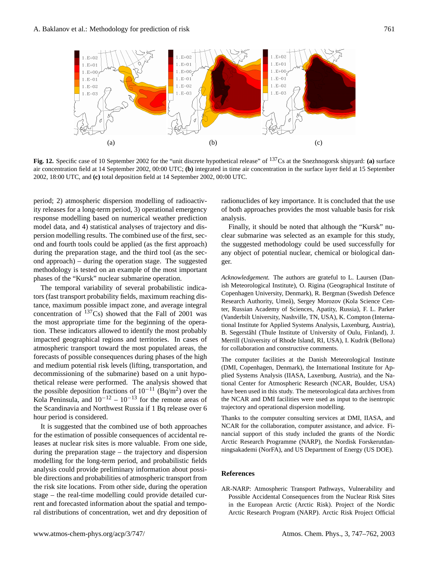

**Fig. 12.** Specific case of 10 September 2002 for the "unit discrete hypothetical release" of <sup>137</sup>Cs at the Snezhnogorsk shipyard: **(a)** surface air concentration field at 14 September 2002, 00:00 UTC; **(b)** integrated in time air concentration in the surface layer field at 15 September 2002, 18:00 UTC, and **(c)** total deposition field at 14 September 2002, 00:00 UTC.

period; 2) atmospheric dispersion modelling of radioactivity releases for a long-term period, 3) operational emergency response modelling based on numerical weather prediction model data, and 4) statistical analyses of trajectory and dispersion modelling results. The combined use of the first, second and fourth tools could be applied (as the first approach) during the preparation stage, and the third tool (as the second approach) – during the operation stage. The suggested methodology is tested on an example of the most important phases of the "Kursk" nuclear submarine operation.

The temporal variability of several probabilistic indicators (fast transport probability fields, maximum reaching distance, maximum possible impact zone, and average integral concentration of  $137Cs$ ) showed that the Fall of 2001 was the most appropriate time for the beginning of the operation. These indicators allowed to identify the most probably impacted geographical regions and territories. In cases of atmospheric transport toward the most populated areas, the forecasts of possible consequences during phases of the high and medium potential risk levels (lifting, transportation, and decommissioning of the submarine) based on a unit hypothetical release were performed. The analysis showed that the possible deposition fractions of  $10^{-11}$  (Bq/m<sup>2</sup>) over the Kola Peninsula, and  $10^{-12} - 10^{-13}$  for the remote areas of the Scandinavia and Northwest Russia if 1 Bq release over 6 hour period is considered.

It is suggested that the combined use of both approaches for the estimation of possible consequences of accidental releases at nuclear risk sites is more valuable. From one side, during the preparation stage – the trajectory and dispersion modelling for the long-term period, and probabilistic fields analysis could provide preliminary information about possible directions and probabilities of atmospheric transport from the risk site locations. From other side, during the operation stage – the real-time modelling could provide detailed current and forecasted information about the spatial and temporal distributions of concentration, wet and dry deposition of radionuclides of key importance. It is concluded that the use of both approaches provides the most valuable basis for risk analysis.

Finally, it should be noted that although the "Kursk" nuclear submarine was selected as an example for this study, the suggested methodology could be used successfully for any object of potential nuclear, chemical or biological danger.

*Acknowledgement.* The authors are grateful to L. Laursen (Danish Meteorological Institute), O. Rigina (Geographical Institute of Copenhagen University, Denmark), R. Bergman (Swedish Defence Research Authority, Umeå), Sergey Morozov (Kola Science Center, Russian Academy of Sciences, Apatity, Russia), F. L. Parker (Vanderbilt University, Nashville, TN, USA), K. Compton (International Institute for Applied Systems Analysis, Laxenburg, Austria), B. Segerståhl (Thule Institute of University of Oulu, Finland), J. Merrill (University of Rhode Island, RI, USA), I. Kudrik (Bellona) for collaboration and constructive comments.

The computer facilities at the Danish Meteorological Institute (DMI, Copenhagen, Denmark), the International Institute for Applied Systems Analysis (IIASA, Laxenburg, Austria), and the National Center for Atmospheric Research (NCAR, Boulder, USA) have been used in this study. The meteorological data archives from the NCAR and DMI facilities were used as input to the isentropic trajectory and operational dispersion modelling.

Thanks to the computer consulting services at DMI, IIASA, and NCAR for the collaboration, computer assistance, and advice. Financial support of this study included the grants of the Nordic Arctic Research Programme (NARP), the Nordisk Forskerutdanningsakademi (NorFA), and US Department of Energy (US DOE).

## **References**

AR-NARP: Atmospheric Transport Pathways, Vulnerability and Possible Accidental Consequences from the Nuclear Risk Sites in the European Arctic (Arctic Risk). Project of the Nordic Arctic Research Program (NARP). Arctic Risk Project Official